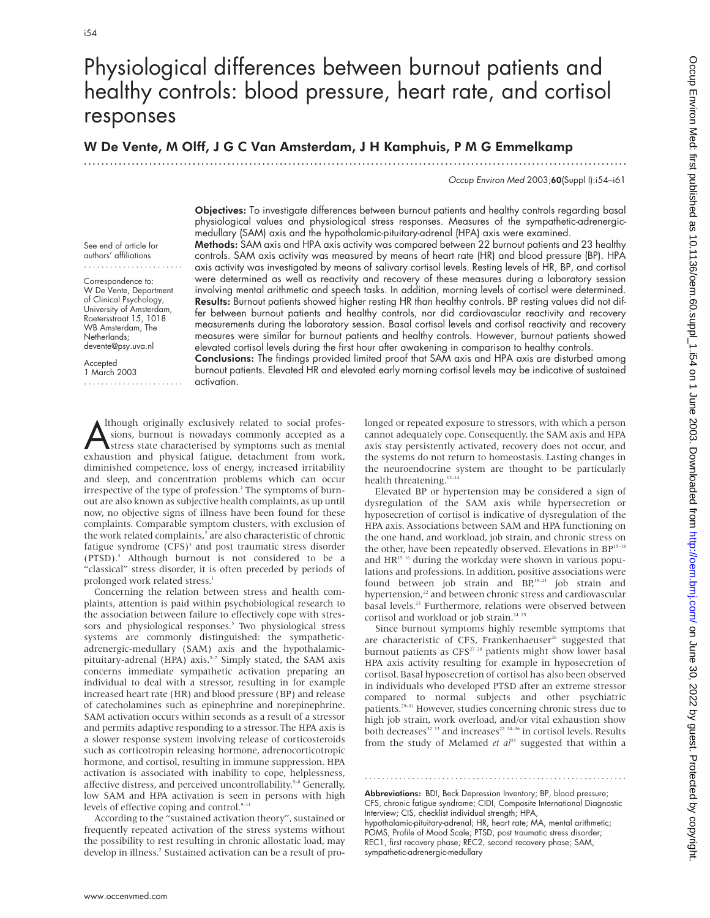# Physiological differences between burnout patients and healthy controls: blood pressure, heart rate, and cortisol responses

.............................................................................................................................

# W De Vente, M Olff, J G C Van Amsterdam, J H Kamphuis, P M G Emmelkamp

Occup Environ Med 2003;60(Suppl I):i54–i61

Objectives: To investigate differences between burnout patients and healthy controls regarding basal physiological values and physiological stress responses. Measures of the sympathetic-adrenergicmedullary (SAM) axis and the hypothalamic-pituitary-adrenal (HPA) axis were examined.

See end of article for authors' affiliations .......................

Correspondence to: W De Vente, Department of Clinical Psychology, University of Amsterdam, Roetersstraat 15, 1018 WB Amsterdam, The Netherlands; devente@psy.uva.nl

Accepted 1 March 2003 ....................... Methods: SAM axis and HPA axis activity was compared between 22 burnout patients and 23 healthy controls. SAM axis activity was measured by means of heart rate (HR) and blood pressure (BP). HPA axis activity was investigated by means of salivary cortisol levels. Resting levels of HR, BP, and cortisol were determined as well as reactivity and recovery of these measures during a laboratory session involving mental arithmetic and speech tasks. In addition, morning levels of cortisol were determined. Results: Burnout patients showed higher resting HR than healthy controls. BP resting values did not differ between burnout patients and healthy controls, nor did cardiovascular reactivity and recovery measurements during the laboratory session. Basal cortisol levels and cortisol reactivity and recovery measures were similar for burnout patients and healthy controls. However, burnout patients showed elevated cortisol levels during the first hour after awakening in comparison to healthy controls.

Conclusions: The findings provided limited proof that SAM axis and HPA axis are disturbed among burnout patients. Elevated HR and elevated early morning cortisol levels may be indicative of sustained activation.

A though originally exclusively related to social professions, burnout is nowadays commonly accepted as a starter characterised by symptoms such as mental exhaustion and physical fatigue, detachment from work, lthough originally exclusively related to social professions, burnout is nowadays commonly accepted as a stress state characterised by symptoms such as mental diminished competence, loss of energy, increased irritability and sleep, and concentration problems which can occur irrespective of the type of profession.<sup>1</sup> The symptoms of burnout are also known as subjective health complaints, as up until now, no objective signs of illness have been found for these complaints. Comparable symptom clusters, with exclusion of the work related complaints,<sup>2</sup> are also characteristic of chronic fatigue syndrome  $(CFS)^3$  and post traumatic stress disorder (PTSD).4 Although burnout is not considered to be a "classical" stress disorder, it is often preceded by periods of prolonged work related stress.<sup>1</sup>

Concerning the relation between stress and health complaints, attention is paid within psychobiological research to the association between failure to effectively cope with stressors and physiological responses.<sup>5</sup> Two physiological stress systems are commonly distinguished: the sympatheticadrenergic-medullary (SAM) axis and the hypothalamicpituitary-adrenal (HPA) axis.<sup>5-7</sup> Simply stated, the SAM axis concerns immediate sympathetic activation preparing an individual to deal with a stressor, resulting in for example increased heart rate (HR) and blood pressure (BP) and release of catecholamines such as epinephrine and norepinephrine. SAM activation occurs within seconds as a result of a stressor and permits adaptive responding to a stressor. The HPA axis is a slower response system involving release of corticosteroids such as corticotropin releasing hormone, adrenocorticotropic hormone, and cortisol, resulting in immune suppression. HPA activation is associated with inability to cope, helplessness, affective distress, and perceived uncontrollability.<sup>5-8</sup> Generally, low SAM and HPA activation is seen in persons with high levels of effective coping and control. $9-11$ 

According to the "sustained activation theory", sustained or frequently repeated activation of the stress systems without the possibility to rest resulting in chronic allostatic load, may develop in illness.<sup>2</sup> Sustained activation can be a result of prolonged or repeated exposure to stressors, with which a person cannot adequately cope. Consequently, the SAM axis and HPA axis stay persistently activated, recovery does not occur, and the systems do not return to homeostasis. Lasting changes in the neuroendocrine system are thought to be particularly health threatening.<sup>12-14</sup>

Elevated BP or hypertension may be considered a sign of dysregulation of the SAM axis while hypersecretion or hyposecretion of cortisol is indicative of dysregulation of the HPA axis. Associations between SAM and HPA functioning on the one hand, and workload, job strain, and chronic stress on the other, have been repeatedly observed. Elevations in BP<sup>15-18</sup> and  $HR<sup>15,16</sup>$  during the workday were shown in various populations and professions. In addition, positive associations were found between job strain and  $BP<sub>i</sub><sup>19-21</sup>$  job strain and hypertension,<sup>22</sup> and between chronic stress and cardiovascular basal levels.<sup>23</sup> Furthermore, relations were observed between cortisol and workload or job strain.<sup>24 25</sup>

Since burnout symptoms highly resemble symptoms that are characteristic of CFS, Frankenhaeuser<sup>26</sup> suggested that burnout patients as  $CFS^{27-28}$  patients might show lower basal HPA axis activity resulting for example in hyposecretion of cortisol. Basal hyposecretion of cortisol has also been observed in individuals who developed PTSD after an extreme stressor compared to normal subjects and other psychiatric patients.29–31 However, studies concerning chronic stress due to high job strain, work overload, and/or vital exhaustion show both decreases<sup>32</sup> <sup>33</sup> and increases<sup>25 34–36</sup> in cortisol levels. Results from the study of Melamed *et al*<sup>35</sup> suggested that within a

Abbreviations: BDI, Beck Depression Inventory; BP, blood pressure; CFS, chronic fatigue syndrome; CIDI, Composite International Diagnostic Interview; CIS, checklist individual strength; HPA, hypothalamic-pituitary-adrenal; HR, heart rate; MA, mental arithmetic; POMS, Profile of Mood Scale; PTSD, post traumatic stress disorder;

.............................................................

REC1, first recovery phase; REC2, second recovery phase; SAM, sympathetic-adrenergic-medullary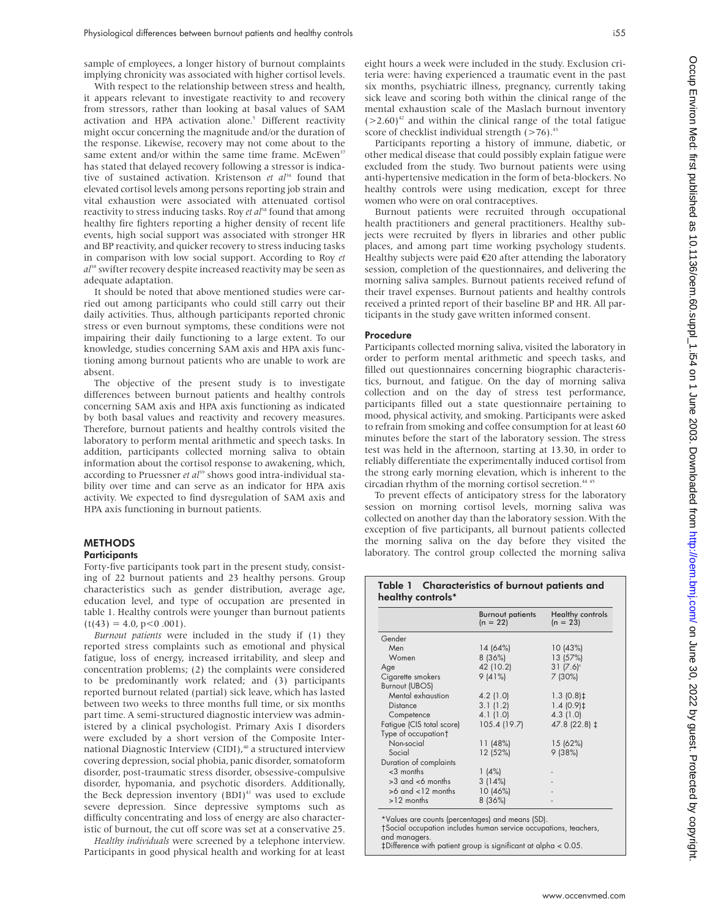sample of employees, a longer history of burnout complaints implying chronicity was associated with higher cortisol levels.

With respect to the relationship between stress and health, it appears relevant to investigate reactivity to and recovery from stressors, rather than looking at basal values of SAM activation and HPA activation alone.<sup>5</sup> Different reactivity might occur concerning the magnitude and/or the duration of the response. Likewise, recovery may not come about to the same extent and/or within the same time frame. McEwen<sup>37</sup> has stated that delayed recovery following a stressor is indicative of sustained activation. Kristenson *et al*<sup>34</sup> found that elevated cortisol levels among persons reporting job strain and vital exhaustion were associated with attenuated cortisol reactivity to stress inducing tasks. Roy *et al*<sup>38</sup> found that among healthy fire fighters reporting a higher density of recent life events, high social support was associated with stronger HR and BP reactivity, and quicker recovery to stress inducing tasks in comparison with low social support. According to Roy *et*  $a<sup>38</sup>$  swifter recovery despite increased reactivity may be seen as adequate adaptation.

It should be noted that above mentioned studies were carried out among participants who could still carry out their daily activities. Thus, although participants reported chronic stress or even burnout symptoms, these conditions were not impairing their daily functioning to a large extent. To our knowledge, studies concerning SAM axis and HPA axis functioning among burnout patients who are unable to work are absent.

The objective of the present study is to investigate differences between burnout patients and healthy controls concerning SAM axis and HPA axis functioning as indicated by both basal values and reactivity and recovery measures. Therefore, burnout patients and healthy controls visited the laboratory to perform mental arithmetic and speech tasks. In addition, participants collected morning saliva to obtain information about the cortisol response to awakening, which, according to Pruessner et al<sup>39</sup> shows good intra-individual stability over time and can serve as an indicator for HPA axis activity. We expected to find dysregulation of SAM axis and HPA axis functioning in burnout patients.

#### **METHODS Participants**

Forty-five participants took part in the present study, consisting of 22 burnout patients and 23 healthy persons. Group characteristics such as gender distribution, average age, education level, and type of occupation are presented in table 1. Healthy controls were younger than burnout patients  $(t(43) = 4.0, p < 0.001)$ .

*Burnout patients* were included in the study if (1) they reported stress complaints such as emotional and physical fatigue, loss of energy, increased irritability, and sleep and concentration problems; (2) the complaints were considered to be predominantly work related; and (3) participants reported burnout related (partial) sick leave, which has lasted between two weeks to three months full time, or six months part time. A semi-structured diagnostic interview was administered by a clinical psychologist. Primary Axis I disorders were excluded by a short version of the Composite International Diagnostic Interview (CIDI),<sup>40</sup> a structured interview covering depression, social phobia, panic disorder, somatoform disorder, post-traumatic stress disorder, obsessive-compulsive disorder, hypomania, and psychotic disorders. Additionally, the Beck depression inventory  $(BDI)^{41}$  was used to exclude severe depression. Since depressive symptoms such as difficulty concentrating and loss of energy are also characteristic of burnout, the cut off score was set at a conservative 25.

*Healthy individuals* were screened by a telephone interview. Participants in good physical health and working for at least eight hours a week were included in the study. Exclusion criteria were: having experienced a traumatic event in the past six months, psychiatric illness, pregnancy, currently taking sick leave and scoring both within the clinical range of the mental exhaustion scale of the Maslach burnout inventory  $(>2.60)^{42}$  and within the clinical range of the total fatigue score of checklist individual strength  $($ >76).<sup>43</sup>

Participants reporting a history of immune, diabetic, or other medical disease that could possibly explain fatigue were excluded from the study. Two burnout patients were using anti-hypertensive medication in the form of beta-blockers. No healthy controls were using medication, except for three women who were on oral contraceptives.

Burnout patients were recruited through occupational health practitioners and general practitioners. Healthy subjects were recruited by flyers in libraries and other public places, and among part time working psychology students. Healthy subjects were paid  $\epsilon$ 20 after attending the laboratory session, completion of the questionnaires, and delivering the morning saliva samples. Burnout patients received refund of their travel expenses. Burnout patients and healthy controls received a printed report of their baseline BP and HR. All participants in the study gave written informed consent.

# Procedure

Participants collected morning saliva, visited the laboratory in order to perform mental arithmetic and speech tasks, and filled out questionnaires concerning biographic characteristics, burnout, and fatigue. On the day of morning saliva collection and on the day of stress test performance, participants filled out a state questionnaire pertaining to mood, physical activity, and smoking. Participants were asked to refrain from smoking and coffee consumption for at least 60 minutes before the start of the laboratory session. The stress test was held in the afternoon, starting at 13.30, in order to reliably differentiate the experimentally induced cortisol from the strong early morning elevation, which is inherent to the circadian rhythm of the morning cortisol secretion.<sup>44 4</sup>

To prevent effects of anticipatory stress for the laboratory session on morning cortisol levels, morning saliva was collected on another day than the laboratory session. With the exception of five participants, all burnout patients collected the morning saliva on the day before they visited the laboratory. The control group collected the morning saliva

|                   | Table 1 Characteristics of burnout patients and |
|-------------------|-------------------------------------------------|
| healthy controls* |                                                 |

|                           | <b>Burnout patients</b><br>$(n = 22)$ | Healthy controls<br>$(n = 23)$ |
|---------------------------|---------------------------------------|--------------------------------|
| Gender                    |                                       |                                |
| Men                       | 14 (64%)                              | 10(43%)                        |
| Women                     | 8 (36%)                               | 13 (57%)                       |
| Age                       | 42 (10.2)                             | $31 (7.6)^c$                   |
| Cigarette smokers         | 9(41%)                                | 7 (30%)                        |
| <b>Burnout (UBOS)</b>     |                                       |                                |
| Mental exhaustion         | 4.2(1.0)                              | $1.3(0.8)$ ‡                   |
| Distance                  | 3.1(1.2)                              | $1.4(0.9)$ ‡                   |
| Competence                | 4.1(1.0)                              | 4.3(1.0)                       |
| Fatigue (CIS total score) | 105.4 (19.7)                          | 47.8 (22.8) ‡                  |
| Type of occupation†       |                                       |                                |
| Non-social                | 11(48%)                               | 15(62%)                        |
| Social                    | 12 (52%)                              | 9(38%)                         |
| Duration of complaints    |                                       |                                |
| $<$ 3 months              | 1(4%)                                 |                                |
| $>3$ and $<$ 6 months     | 3(14%)                                |                                |
| $>6$ and $<$ 12 months    | 10(46%)                               |                                |
| $>12$ months              | 8 (36%)                               |                                |

†Social occupation includes human service occupations, teachers, and managers

‡Difference with patient group is significant at alpha < 0.05.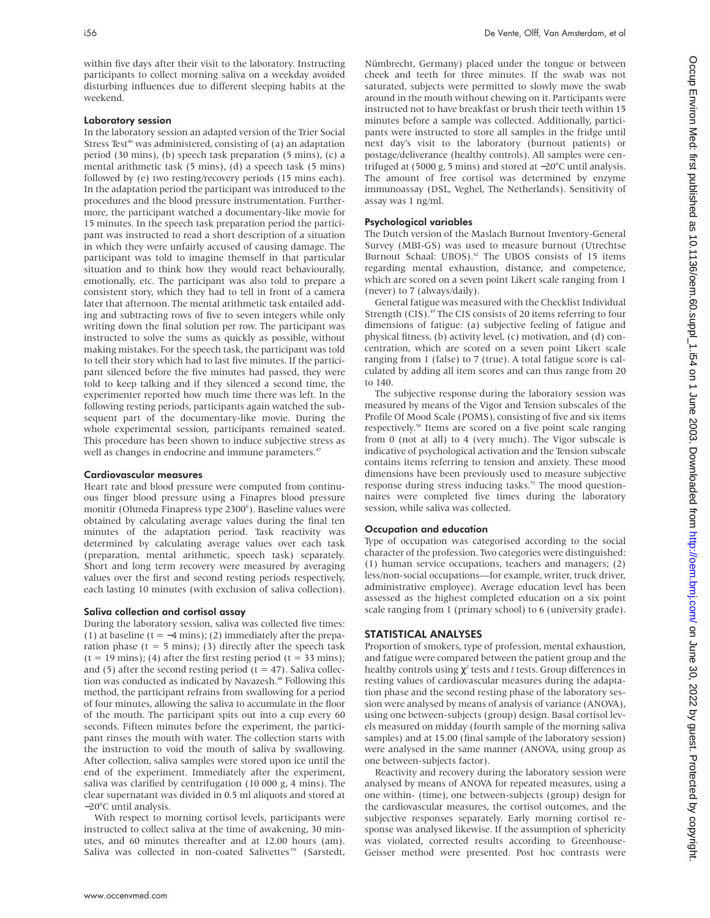within five days after their visit to the laboratory. Instructing participants to collect morning saliva on a weekday avoided disturbing influences due to different sleeping habits at the weekend.

# Laboratory session

In the laboratory session an adapted version of the Trier Social Stress Test<sup>46</sup> was administered, consisting of (a) an adaptation period (30 mins), (b) speech task preparation (5 mins), (c) a mental arithmetic task (5 mins), (d) a speech task (5 mins) followed by (e) two resting/recovery periods (15 mins each). In the adaptation period the participant was introduced to the procedures and the blood pressure instrumentation. Furthermore, the participant watched a documentary-like movie for 15 minutes. In the speech task preparation period the participant was instructed to read a short description of a situation in which they were unfairly accused of causing damage. The participant was told to imagine themself in that particular situation and to think how they would react behaviourally, emotionally, etc. The participant was also told to prepare a consistent story, which they had to tell in front of a camera later that afternoon. The mental arithmetic task entailed adding and subtracting rows of five to seven integers while only writing down the final solution per row. The participant was instructed to solve the sums as quickly as possible, without making mistakes. For the speech task, the participant was told to tell their story which had to last five minutes. If the participant silenced before the five minutes had passed, they were told to keep talking and if they silenced a second time, the experimenter reported how much time there was left. In the following resting periods, participants again watched the subsequent part of the documentary-like movie. During the whole experimental session, participants remained seated. This procedure has been shown to induce subjective stress as well as changes in endocrine and immune parameters.<sup>47</sup>

# Cardiovascular measures

Heart rate and blood pressure were computed from continuous finger blood pressure using a Finapres blood pressure monitir (Ohmeda Finapress type 2300<sup>E</sup>). Baseline values were obtained by calculating average values during the final ten minutes of the adaptation period. Task reactivity was determined by calculating average values over each task (preparation, mental arithmetic, speech task) separately. Short and long term recovery were measured by averaging values over the first and second resting periods respectively, each lasting 10 minutes (with exclusion of saliva collection).

# Saliva collection and cortisol assay

During the laboratory session, saliva was collected five times: (1) at baseline (t =  $-4$  mins); (2) immediately after the preparation phase ( $t = 5$  mins); (3) directly after the speech task  $(t = 19 \text{ mins})$ ; (4) after the first resting period  $(t = 33 \text{ mins})$ ; and (5) after the second resting period ( $t = 47$ ). Saliva collection was conducted as indicated by Navazesh.<sup>48</sup> Following this method, the participant refrains from swallowing for a period of four minutes, allowing the saliva to accumulate in the floor of the mouth. The participant spits out into a cup every 60 seconds. Fifteen minutes before the experiment, the participant rinses the mouth with water. The collection starts with the instruction to void the mouth of saliva by swallowing. After collection, saliva samples were stored upon ice until the end of the experiment. Immediately after the experiment, saliva was clarified by centrifugation (10 000 g, 4 mins). The clear supernatant was divided in 0.5 ml aliquots and stored at −20°C until analysis.

With respect to morning cortisol levels, participants were instructed to collect saliva at the time of awakening, 30 minutes, and 60 minutes thereafter and at 12.00 hours (am). Saliva was collected in non-coated Salivettes™ (Sarstedt,

Nümbrecht, Germany) placed under the tongue or between cheek and teeth for three minutes. If the swab was not saturated, subjects were permitted to slowly move the swab around in the mouth without chewing on it. Participants were instructed not to have breakfast or brush their teeth within 15 minutes before a sample was collected. Additionally, participants were instructed to store all samples in the fridge until next day's visit to the laboratory (burnout patients) or postage/deliverance (healthy controls). All samples were centrifuged at (5000 g, 5 mins) and stored at −20°C until analysis. The amount of free cortisol was determined by enzyme immunoassay (DSL, Veghel, The Netherlands). Sensitivity of assay was 1 ng/ml.

# Psychological variables

The Dutch version of the Maslach Burnout Inventory-General Survey (MBI-GS) was used to measure burnout (Utrechtse Burnout Schaal: UBOS).<sup>42</sup> The UBOS consists of 15 items regarding mental exhaustion, distance, and competence, which are scored on a seven point Likert scale ranging from 1 (never) to 7 (always/daily).

General fatigue was measured with the Checklist Individual Strength (CIS).<sup>49</sup> The CIS consists of 20 items referring to four dimensions of fatigue: (a) subjective feeling of fatigue and physical fitness, (b) activity level, (c) motivation, and (d) concentration, which are scored on a seven point Likert scale ranging from 1 (false) to 7 (true). A total fatigue score is calculated by adding all item scores and can thus range from 20 to 140.

The subjective response during the laboratory session was measured by means of the Vigor and Tension subscales of the Profile Of Mood Scale (POMS), consisting of five and six items respectively.50 Items are scored on a five point scale ranging from 0 (not at all) to 4 (very much). The Vigor subscale is indicative of psychological activation and the Tension subscale contains items referring to tension and anxiety. These mood dimensions have been previously used to measure subjective response during stress inducing tasks.<sup>51</sup> The mood questionnaires were completed five times during the laboratory session, while saliva was collected.

# Occupation and education

Type of occupation was categorised according to the social character of the profession. Two categories were distinguished: (1) human service occupations, teachers and managers; (2) less/non-social occupations—for example, writer, truck driver, administrative employee). Average education level has been assessed as the highest completed education on a six point scale ranging from 1 (primary school) to 6 (university grade).

# STATISTICAL ANALYSES

Proportion of smokers, type of profession, mental exhaustion, and fatigue were compared between the patient group and the healthy controls using  $\chi^2$  tests and *t* tests. Group differences in resting values of cardiovascular measures during the adaptation phase and the second resting phase of the laboratory session were analysed by means of analysis of variance (ANOVA), using one between-subjects (group) design. Basal cortisol levels measured on midday (fourth sample of the morning saliva samples) and at 15.00 (final sample of the laboratory session) were analysed in the same manner (ANOVA, using group as one between-subjects factor).

Reactivity and recovery during the laboratory session were analysed by means of ANOVA for repeated measures, using a one within- (time), one between-subjects (group) design for the cardiovascular measures, the cortisol outcomes, and the subjective responses separately. Early morning cortisol response was analysed likewise. If the assumption of sphericity was violated, corrected results according to Greenhouse-Geisser method were presented. Post hoc contrasts were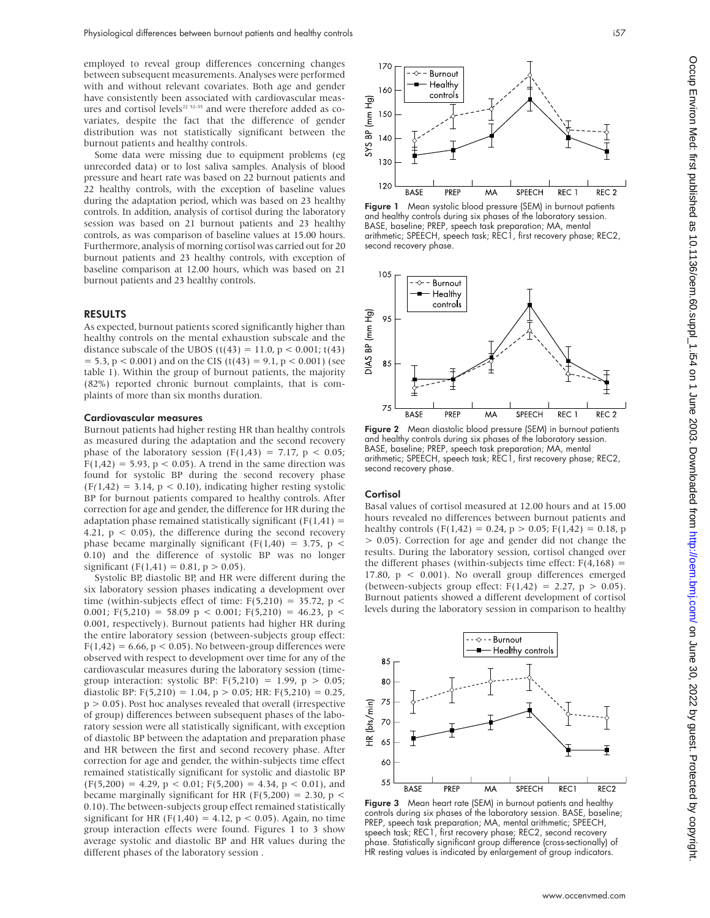employed to reveal group differences concerning changes between subsequent measurements. Analyses were performed with and without relevant covariates. Both age and gender have consistently been associated with cardiovascular measures and cortisol levels<sup>22 52-55</sup> and were therefore added as covariates, despite the fact that the difference of gender distribution was not statistically significant between the burnout patients and healthy controls.

Some data were missing due to equipment problems (eg unrecorded data) or to lost saliva samples. Analysis of blood pressure and heart rate was based on 22 burnout patients and 22 healthy controls, with the exception of baseline values during the adaptation period, which was based on 23 healthy controls. In addition, analysis of cortisol during the laboratory session was based on 21 burnout patients and 23 healthy controls, as was comparison of baseline values at 15.00 hours. Furthermore, analysis of morning cortisol was carried out for 20 burnout patients and 23 healthy controls, with exception of baseline comparison at 12.00 hours, which was based on 21 burnout patients and 23 healthy controls.

#### RESULTS

As expected, burnout patients scored significantly higher than healthy controls on the mental exhaustion subscale and the distance subscale of the UBOS ( $t(43) = 11.0$ ,  $p < 0.001$ ;  $t(43)$ )  $= 5.3$ ,  $p < 0.001$ ) and on the CIS (t(43) = 9.1,  $p < 0.001$ ) (see table 1). Within the group of burnout patients, the majority (82%) reported chronic burnout complaints, that is complaints of more than six months duration.

# Cardiovascular measures

Burnout patients had higher resting HR than healthy controls as measured during the adaptation and the second recovery phase of the laboratory session (F(1,43) = 7.17,  $p < 0.05$ ;  $F(1,42) = 5.93$ ,  $p < 0.05$ ). A trend in the same direction was found for systolic BP during the second recovery phase  $(F(1,42) = 3.14, p < 0.10)$ , indicating higher resting systolic BP for burnout patients compared to healthy controls. After correction for age and gender, the difference for HR during the adaptation phase remained statistically significant ( $F(1,41) =$ 4.21,  $p < 0.05$ ), the difference during the second recovery phase became marginally significant (F(1,40) = 3.75, p < 0.10) and the difference of systolic BP was no longer significant (F(1,41) =  $0.81$ , p >  $0.05$ ).

Systolic BP, diastolic BP, and HR were different during the six laboratory session phases indicating a development over time (within-subjects effect of time:  $F(5,210) = 35.72$ ,  $p <$ 0.001; F(5,210) = 58.09 p < 0.001; F(5,210) = 46.23, p < 0.001, respectively). Burnout patients had higher HR during the entire laboratory session (between-subjects group effect:  $F(1,42) = 6.66$ ,  $p < 0.05$ ). No between-group differences were observed with respect to development over time for any of the cardiovascular measures during the laboratory session (timegroup interaction: systolic BP:  $F(5,210) = 1.99$ ,  $p > 0.05$ ; diastolic BP:  $F(5,210) = 1.04$ ,  $p > 0.05$ ; HR:  $F(5,210) = 0.25$ ,  $p > 0.05$ ). Post hoc analyses revealed that overall (irrespective of group) differences between subsequent phases of the laboratory session were all statistically significant, with exception of diastolic BP between the adaptation and preparation phase and HR between the first and second recovery phase. After correction for age and gender, the within-subjects time effect remained statistically significant for systolic and diastolic BP  $(F(5,200) = 4.29, p < 0.01; F(5,200) = 4.34, p < 0.01$ , and became marginally significant for HR (F(5,200) = 2.30,  $p <$ 0.10). The between-subjects group effect remained statistically significant for HR (F(1,40) = 4.12,  $p < 0.05$ ). Again, no time group interaction effects were found. Figures 1 to 3 show average systolic and diastolic BP and HR values during the different phases of the laboratory session .



Figure 1 Mean systolic blood pressure (SEM) in burnout patients and healthy controls during six phases of the laboratory session. BASE, baseline; PREP, speech task preparation; MA, mental arithmetic; SPEECH, speech task; REC1, first recovery phase; REC2, second recovery phase.



Figure 2 Mean diastolic blood pressure (SEM) in burnout patients and healthy controls during six phases of the laboratory session. BASE, baseline; PREP, speech task preparation; MA, mental arithmetic; SPEECH, speech task; REC1, first recovery phase; REC2, second recovery phase.

#### **Cortisol**

Basal values of cortisol measured at 12.00 hours and at 15.00 hours revealed no differences between burnout patients and healthy controls (F(1,42) = 0.24, p > 0.05; F(1,42) = 0.18, p > 0.05). Correction for age and gender did not change the results. During the laboratory session, cortisol changed over the different phases (within-subjects time effect:  $F(4,168) =$ 17.80, p < 0.001). No overall group differences emerged (between-subjects group effect:  $F(1,42) = 2.27$ ,  $p > 0.05$ ). Burnout patients showed a different development of cortisol levels during the laboratory session in comparison to healthy



Figure 3 Mean heart rate (SEM) in burnout patients and healthy controls during six phases of the laboratory session. BASE, baseline; PREP, speech task preparation; MA, mental arithmetic; SPEECH, speech task; REC1, first recovery phase; REC2, second recovery phase. Statistically significant group difference (cross-sectionally) of HR resting values is indicated by enlargement of group indicators.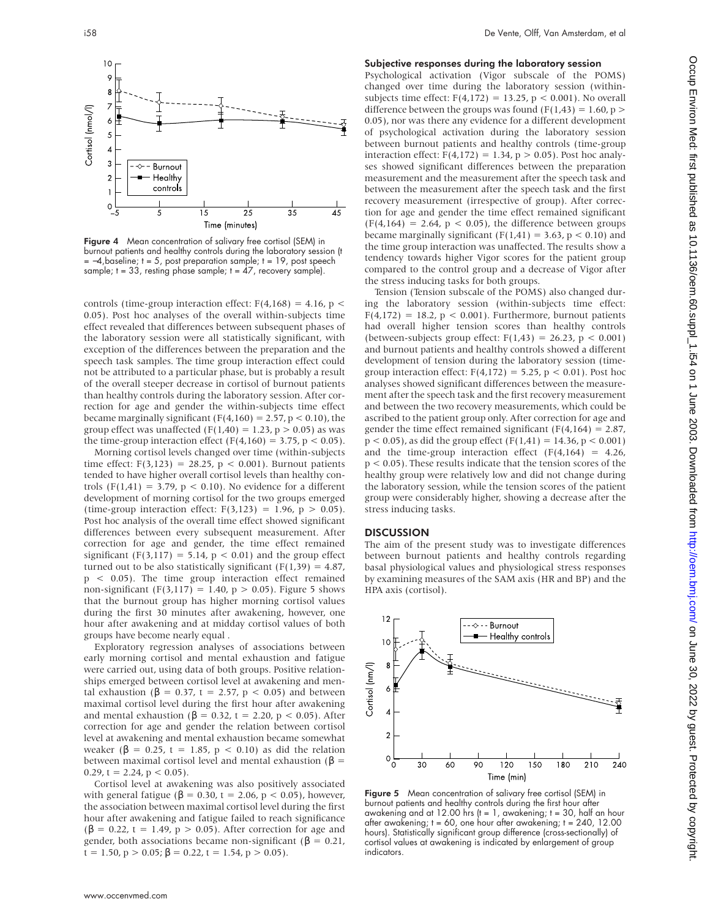

Figure 4 Mean concentration of salivary free cortisol (SEM) in burnout patients and healthy controls during the laboratory session (t = −4,baseline; t = 5, post preparation sample; t = 19, post speech sample;  $t = 33$ , resting phase sample;  $t = 47$ , recovery sample).

controls (time-group interaction effect:  $F(4,168) = 4.16$ , p < 0.05). Post hoc analyses of the overall within-subjects time effect revealed that differences between subsequent phases of the laboratory session were all statistically significant, with exception of the differences between the preparation and the speech task samples. The time group interaction effect could not be attributed to a particular phase, but is probably a result of the overall steeper decrease in cortisol of burnout patients than healthy controls during the laboratory session. After correction for age and gender the within-subjects time effect became marginally significant ( $F(4,160) = 2.57$ ,  $p < 0.10$ ), the group effect was unaffected (F(1,40) = 1.23, p  $> 0.05$ ) as was the time-group interaction effect (F(4,160) = 3.75, p < 0.05).

Morning cortisol levels changed over time (within-subjects time effect:  $F(3,123) = 28.25$ ,  $p < 0.001$ ). Burnout patients tended to have higher overall cortisol levels than healthy controls (F(1,41) = 3.79,  $p < 0.10$ ). No evidence for a different development of morning cortisol for the two groups emerged (time-group interaction effect:  $F(3,123) = 1.96$ ,  $p > 0.05$ ). Post hoc analysis of the overall time effect showed significant differences between every subsequent measurement. After correction for age and gender, the time effect remained significant (F(3,117) = 5.14,  $p < 0.01$ ) and the group effect turned out to be also statistically significant ( $F(1,39) = 4.87$ , p < 0.05). The time group interaction effect remained non-significant (F(3,117) = 1.40,  $p > 0.05$ ). Figure 5 shows that the burnout group has higher morning cortisol values during the first 30 minutes after awakening, however, one hour after awakening and at midday cortisol values of both groups have become nearly equal .

Exploratory regression analyses of associations between early morning cortisol and mental exhaustion and fatigue were carried out, using data of both groups. Positive relationships emerged between cortisol level at awakening and mental exhaustion ( $\beta = 0.37$ , t = 2.57, p < 0.05) and between maximal cortisol level during the first hour after awakening and mental exhaustion ( $\beta = 0.32$ , t = 2.20, p < 0.05). After correction for age and gender the relation between cortisol level at awakening and mental exhaustion became somewhat weaker ( $\beta$  = 0.25, t = 1.85, p < 0.10) as did the relation between maximal cortisol level and mental exhaustion (β = 0.29, t = 2.24,  $p < 0.05$ ).

Cortisol level at awakening was also positively associated with general fatigue ( $β = 0.30$ , t = 2.06, p < 0.05), however, the association between maximal cortisol level during the first hour after awakening and fatigue failed to reach significance  $(\beta = 0.22, t = 1.49, p > 0.05)$ . After correction for age and gender, both associations became non-significant ( $\beta = 0.21$ , t = 1.50, p > 0.05;  $\beta$  = 0.22, t = 1.54, p > 0.05).

#### Subjective responses during the laboratory session

Psychological activation (Vigor subscale of the POMS) changed over time during the laboratory session (withinsubjects time effect:  $F(4,172) = 13.25$ ,  $p < 0.001$ ). No overall difference between the groups was found (F(1,43) = 1.60,  $p >$ 0.05), nor was there any evidence for a different development of psychological activation during the laboratory session between burnout patients and healthy controls (time-group interaction effect:  $F(4,172) = 1.34$ ,  $p > 0.05$ ). Post hoc analyses showed significant differences between the preparation measurement and the measurement after the speech task and between the measurement after the speech task and the first recovery measurement (irrespective of group). After correction for age and gender the time effect remained significant  $(F(4,164) = 2.64, p < 0.05)$ , the difference between groups became marginally significant (F(1,41) = 3.63,  $p < 0.10$ ) and the time group interaction was unaffected. The results show a tendency towards higher Vigor scores for the patient group compared to the control group and a decrease of Vigor after the stress inducing tasks for both groups.

Tension (Tension subscale of the POMS) also changed during the laboratory session (within-subjects time effect:  $F(4,172) = 18.2$ ,  $p < 0.001$ ). Furthermore, burnout patients had overall higher tension scores than healthy controls (between-subjects group effect:  $F(1,43) = 26.23$ ,  $p < 0.001$ ) and burnout patients and healthy controls showed a different development of tension during the laboratory session (timegroup interaction effect:  $F(4,172) = 5.25$ ,  $p < 0.01$ ). Post hoc analyses showed significant differences between the measurement after the speech task and the first recovery measurement and between the two recovery measurements, which could be ascribed to the patient group only. After correction for age and gender the time effect remained significant ( $F(4,164) = 2.87$ ,  $p < 0.05$ ), as did the group effect (F(1,41) = 14.36, p < 0.001) and the time-group interaction effect  $(F(4,164) = 4.26,$ p < 0.05). These results indicate that the tension scores of the healthy group were relatively low and did not change during the laboratory session, while the tension scores of the patient group were considerably higher, showing a decrease after the stress inducing tasks.

#### **DISCUSSION**

The aim of the present study was to investigate differences between burnout patients and healthy controls regarding basal physiological values and physiological stress responses by examining measures of the SAM axis (HR and BP) and the HPA axis (cortisol).



Figure 5 Mean concentration of salivary free cortisol (SEM) in burnout patients and healthy controls during the first hour after awakening and at 12.00 hrs  $(t = 1)$ , awakening;  $t = 30$ , half an hour after awakening;  $t = 60$ , one hour after awakening;  $t = 240$ , 12.00 hours). Statistically significant group difference (cross-sectionally) of cortisol values at awakening is indicated by enlargement of group indicators.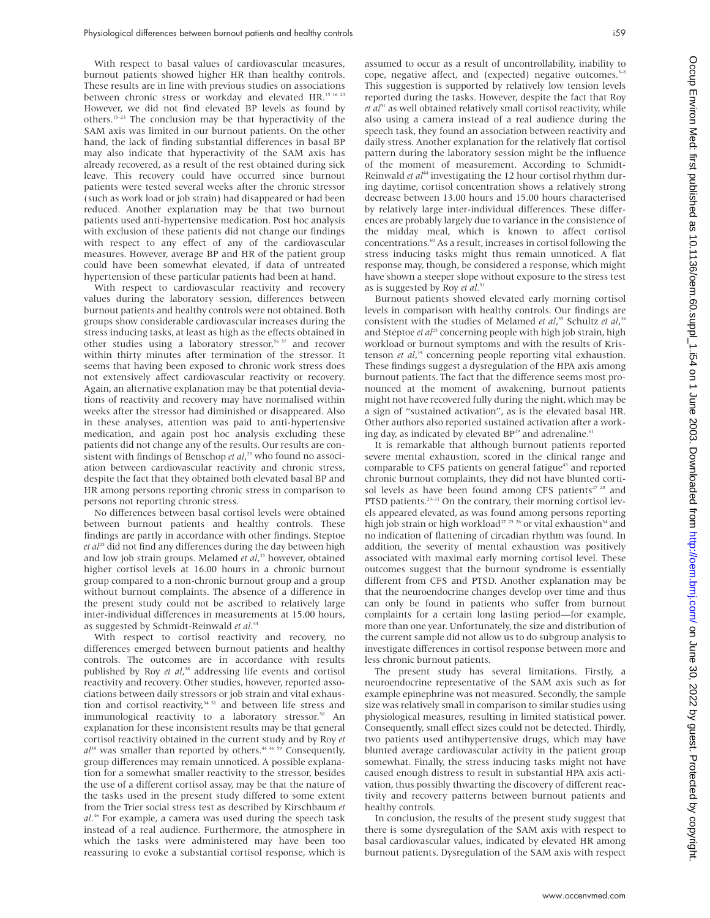With respect to basal values of cardiovascular measures, burnout patients showed higher HR than healthy controls. These results are in line with previous studies on associations between chronic stress or workday and elevated HR.<sup>15 16</sup> <sup>23</sup> However, we did not find elevated BP levels as found by others.15–23 The conclusion may be that hyperactivity of the SAM axis was limited in our burnout patients. On the other hand, the lack of finding substantial differences in basal BP may also indicate that hyperactivity of the SAM axis has already recovered, as a result of the rest obtained during sick leave. This recovery could have occurred since burnout patients were tested several weeks after the chronic stressor (such as work load or job strain) had disappeared or had been reduced. Another explanation may be that two burnout patients used anti-hypertensive medication. Post hoc analysis with exclusion of these patients did not change our findings with respect to any effect of any of the cardiovascular measures. However, average BP and HR of the patient group could have been somewhat elevated, if data of untreated hypertension of these particular patients had been at hand.

With respect to cardiovascular reactivity and recovery values during the laboratory session, differences between burnout patients and healthy controls were not obtained. Both groups show considerable cardiovascular increases during the stress inducing tasks, at least as high as the effects obtained in other studies using a laboratory stressor,<sup>56 57</sup> and recover within thirty minutes after termination of the stressor. It seems that having been exposed to chronic work stress does not extensively affect cardiovascular reactivity or recovery. Again, an alternative explanation may be that potential deviations of reactivity and recovery may have normalised within weeks after the stressor had diminished or disappeared. Also in these analyses, attention was paid to anti-hypertensive medication, and again post hoc analysis excluding these patients did not change any of the results. Our results are consistent with findings of Benschop *et al*, <sup>23</sup> who found no association between cardiovascular reactivity and chronic stress, despite the fact that they obtained both elevated basal BP and HR among persons reporting chronic stress in comparison to persons not reporting chronic stress.

No differences between basal cortisol levels were obtained between burnout patients and healthy controls. These findings are partly in accordance with other findings. Steptoe *et al*<sup>25</sup> did not find any differences during the day between high and low job strain groups. Melamed *et al*, <sup>35</sup> however, obtained higher cortisol levels at 16.00 hours in a chronic burnout group compared to a non-chronic burnout group and a group without burnout complaints. The absence of a difference in the present study could not be ascribed to relatively large inter-individual differences in measurements at 15.00 hours, as suggested by Schmidt-Reinwald *et al*. 44

With respect to cortisol reactivity and recovery, no differences emerged between burnout patients and healthy controls. The outcomes are in accordance with results published by Roy *et al*, <sup>38</sup> addressing life events and cortisol reactivity and recovery. Other studies, however, reported associations between daily stressors or job strain and vital exhaustion and cortisol reactivity,<sup>34 51</sup> and between life stress and immunological reactivity to a laboratory stressor.<sup>58</sup> An explanation for these inconsistent results may be that general cortisol reactivity obtained in the current study and by Roy *et*  $a^{138}$  was smaller than reported by others.<sup>44 46 59</sup> Consequently, group differences may remain unnoticed. A possible explanation for a somewhat smaller reactivity to the stressor, besides the use of a different cortisol assay, may be that the nature of the tasks used in the present study differed to some extent from the Trier social stress test as described by Kirschbaum *et al*. <sup>46</sup> For example, a camera was used during the speech task instead of a real audience. Furthermore, the atmosphere in which the tasks were administered may have been too reassuring to evoke a substantial cortisol response, which is

assumed to occur as a result of uncontrollability, inability to cope, negative affect, and (expected) negative outcomes.<sup>5</sup> This suggestion is supported by relatively low tension levels reported during the tasks. However, despite the fact that Roy et al<sup>51</sup> as well obtained relatively small cortisol reactivity, while also using a camera instead of a real audience during the speech task, they found an association between reactivity and daily stress. Another explanation for the relatively flat cortisol pattern during the laboratory session might be the influence of the moment of measurement. According to Schmidt-Reinwald et al<sup>44</sup> investigating the 12 hour cortisol rhythm during daytime, cortisol concentration shows a relatively strong decrease between 13.00 hours and 15.00 hours characterised by relatively large inter-individual differences. These differences are probably largely due to variance in the consistence of the midday meal, which is known to affect cortisol concentrations.60 As a result, increases in cortisol following the stress inducing tasks might thus remain unnoticed. A flat response may, though, be considered a response, which might have shown a steeper slope without exposure to the stress test as is suggested by Roy *et al.*<sup>51</sup>

Burnout patients showed elevated early morning cortisol levels in comparison with healthy controls. Our findings are consistent with the studies of Melamed *et al*,<sup>35</sup> Schultz *et al*,<sup>36</sup> and Steptoe *et al*<sup>25</sup> concerning people with high job strain, high workload or burnout symptoms and with the results of Kristenson *et al*,<sup>34</sup> concerning people reporting vital exhaustion. These findings suggest a dysregulation of the HPA axis among burnout patients. The fact that the difference seems most pronounced at the moment of awakening, burnout patients might not have recovered fully during the night, which may be a sign of "sustained activation", as is the elevated basal HR. Other authors also reported sustained activation after a working day, as indicated by elevated BP<sup>19</sup> and adrenaline.<sup>6</sup>

It is remarkable that although burnout patients reported severe mental exhaustion, scored in the clinical range and comparable to CFS patients on general fatigue<sup>43</sup> and reported chronic burnout complaints, they did not have blunted cortisol levels as have been found among CFS patients<sup>27 28</sup> and PTSD patients.<sup>29–31</sup> On the contrary, their morning cortisol levels appeared elevated, as was found among persons reporting high job strain or high workload<sup>17 25</sup> <sup>26</sup> or vital exhaustion<sup>34</sup> and no indication of flattening of circadian rhythm was found. In addition, the severity of mental exhaustion was positively associated with maximal early morning cortisol level. These outcomes suggest that the burnout syndrome is essentially different from CFS and PTSD. Another explanation may be that the neuroendocrine changes develop over time and thus can only be found in patients who suffer from burnout complaints for a certain long lasting period—for example, more than one year. Unfortunately, the size and distribution of the current sample did not allow us to do subgroup analysis to investigate differences in cortisol response between more and less chronic burnout patients.

The present study has several limitations. Firstly, a neuroendocrine representative of the SAM axis such as for example epinephrine was not measured. Secondly, the sample size was relatively small in comparison to similar studies using physiological measures, resulting in limited statistical power. Consequently, small effect sizes could not be detected. Thirdly, two patients used antihypertensive drugs, which may have blunted average cardiovascular activity in the patient group somewhat. Finally, the stress inducing tasks might not have caused enough distress to result in substantial HPA axis activation, thus possibly thwarting the discovery of different reactivity and recovery patterns between burnout patients and healthy controls.

In conclusion, the results of the present study suggest that there is some dysregulation of the SAM axis with respect to basal cardiovascular values, indicated by elevated HR among burnout patients. Dysregulation of the SAM axis with respect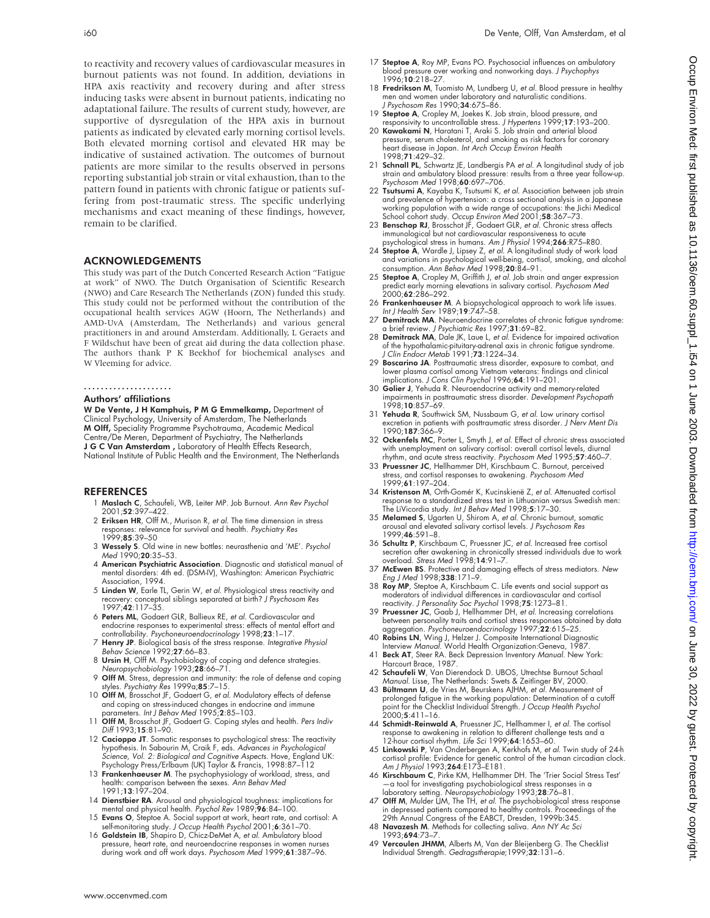to reactivity and recovery values of cardiovascular measures in burnout patients was not found. In addition, deviations in HPA axis reactivity and recovery during and after stress inducing tasks were absent in burnout patients, indicating no adaptational failure. The results of current study, however, are supportive of dysregulation of the HPA axis in burnout patients as indicated by elevated early morning cortisol levels. Both elevated morning cortisol and elevated HR may be indicative of sustained activation. The outcomes of burnout patients are more similar to the results observed in persons reporting substantial job strain or vital exhaustion, than to the pattern found in patients with chronic fatigue or patients suffering from post-traumatic stress. The specific underlying mechanisms and exact meaning of these findings, however, remain to be clarified.

## ACKNOWLEDGEMENTS

This study was part of the Dutch Concerted Research Action "Fatigue at work" of NWO. The Dutch Organisation of Scientific Research (NWO) and Care Research The Netherlands (ZON) funded this study. This study could not be performed without the contribution of the occupational health services AGW (Hoorn, The Netherlands) and AMD-UvA (Amsterdam, The Netherlands) and various general practitioners in and around Amsterdam. Additionally, L Geraets and F Wildschut have been of great aid during the data collection phase. The authors thank P K Beekhof for biochemical analyses and W Vleeming for advice.

# .....................

# Authors' affiliations

W De Vente, J H Kamphuis, P M G Emmelkamp, Department of Clinical Psychology, University of Amsterdam, The Netherlands M Olff, Speciality Programme Psychotrauma, Academic Medical Centre/De Meren, Department of Psychiatry, The Netherlands J G C Van Amsterdam, Laboratory of Health Effects Research, National Institute of Public Health and the Environment, The Netherlands

#### **REFERENCES**

- 1 Maslach C, Schaufeli, WB, Leiter MP. Job Burnout. Ann Rev Psychol 2001;52:397–422.
- 2 Eriksen HR, Olff M., Murison R, et al. The time dimension in stress responses: relevance for survival and health. Psychiatry Res 1999;85:39–50
- 3 Wessely S. Old wine in new bottles: neurasthenia and 'ME'. Psychol Med 1990;20:35–53.
- 4 American Psychiatric Association. Diagnostic and statistical manual of mental disorders: 4th ed. (DSM-IV), Washington: American Psychiatric Association, 1994.
- 5 Linden W, Earle TL, Gerin W, et al. Physiological stress reactivity and recovery: conceptual siblings separated at birth? J Psychosom Res 1997;42:117–35.
- 6 Peters ML, Godaert GLR, Ballieux RE, et al. Cardiovascular and endocrine responses to experimental stress: effects of mental effort and<br>controllability. *Psychoneuroendocrinology* 1998;**23**:1–17.
- 7 Henry JP. Biological basis of the stress response. Integrative Physiol Behav Science 1992;27:66–83.
- 8 Ursin H, Olff M. Psychobiology of coping and defence strategies. Neuropsychobiology 1993;28:66-71
- 9 Olff M. Stress, depression and immunity: the role of defense and coping styles. Psychiatry Res 1999a;85:7–15.
- 10 Olff M, Brosschot JF, Godaert G, et al. Modulatory effects of defense and coping on stress-induced changes in endocrine and immune parameters. Int J Behav Med 1995;2:85-103.
- 11 Olff M, Brosschot JF, Godaert G. Coping styles and health. Pers Indiv Diff 1993;15:81–90.
- 12 Cacioppo JT. Somatic responses to psychological stress: The reactivity hypothesis. In Sabourin M, Craik F, eds. Advances in Psychological Science, Vol. 2: Biological and Cognitive Aspects. Hove, England UK: Psychology Press/Erlbaum (UK) Taylor & Francis, 1998:87-112
- 13 Frankenhaeuser M. The psychophysiology of workload, stress, and health: comparison between the sexes. Ann Behav Med 1991;13:197–204.
- 14 Dienstbier RA. Arousal and physiological toughness: implications for mental and physical health. Psychol Rev 1989;96:84–100.
- 15 Evans O, Steptoe A. Social support at work, heart rate, and cortisol: A self-monitoring study. J Occup Health Psychol 2001;6:361–70.
- 16 Goldstein IB, Shapiro D, Chicz-DeMet A, et al. Ambulatory blood pressure, heart rate, and neuroendocrine responses in women nurses during work and off work days. Psychosom Med 1999;61:387–96.
- 17 Steptoe A, Roy MP, Evans PO. Psychosocial influences on ambulatory blood pressure over working and nonworking days. J Psychophys 1996;10:218–27.
- 18 Fredrikson M, Tuomisto M, Lundberg U, et al. Blood pressure in healthy men and women under laboratory and naturalistic conditions. J Psychosom Res 1990;34:675–86.
- 19 Steptoe A, Cropley M, Joekes K. Job strain, blood pressure, and responsivity to uncontrollable stress. J Hypertens 1999;17:193-200.
- 20 Kawakami N, Haratani T, Araki S. Job strain and arterial blood pressure, serum cholesterol, and smoking as risk factors for coronary<br>heart disease in Japan. *Int Arch Occup Environ Health* 1998;71:429–32.
- 21 Schnall PL, Schwartz JE, Landbergis PA et al. A longitudinal study of job strain and ambulatory blood pressure: results from a three year follow-up. Psychosom Med 1998;60:697–706.
- 22 Tsutsumi A, Kayaba K, Tsutsumi K, et al. Association between job strain and prevalence of hypertension: a cross sectional analysis in a Japanese working population with a wide range of occupations: the Jichi Medical
- School cohort study. *Occup Environ Med* 2001;**58**:367–73.<br>23 **Benschop RJ**, Brosschot JF, Godaert GLR, *et al*. Chronic stress affects immunological but not cardiovascular responsiveness to acute psychological stress in humans. Am J Physiol 1994;266:R75–R80.
- 24 Steptoe A, Wardle J, Lipsey Z, et al. A longitudinal study of work load and variations in psychological well-being, cortisol, smoking, and alcohol<br>consumption. Ann Behav Med 1998;**20**:84–91.
- 25 Steptoe A, Cropley M, Griffith J, et al. Job strain and anger expression predict early morning elevations in salivary cortisol. Psychosom Med 2000;62:286–292.
- 26 Frankenhaeuser M. A biopsychological approach to work life issues. Int J Health Serv 1989;19:747–58.
- 27 Demitrack MA. Neuroendocrine correlates of chronic fatigue syndrome: a brief review. J Psychiatric Res 1997;31:69–82.
- 28 **Demitrack MA**, Dale JK, Laue L, et al. Evidence for impaired activation of the hypothalamic-pituitary-adrenal axis in chronic fatigue syndrome. J Clin Endocr Metab 1991;73:1224–34.
- 29 Boscarino JA. Posttraumatic stress disorder, exposure to combat, and lower plasma cortisol among Vietnam veterans: findings and clinical implications. J Cons Clin Psychol 1996;64:191–201.
- 30 Golier J, Yehuda R. Neuroendocrine activity and memory-related impairments in posttraumatic stress disorder. Development Psychopath 1998;10:857–69.
- 31 Yehuda R, Southwick SM, Nussbaum G, et al. Low urinary cortisol excretion in patients with posttraumatic stress disorder. J Nerv Ment Dis 1990;187:366–9.
- 32 Ockenfels MC, Porter L, Smyth J, et al. Effect of chronic stress associated with unemployment on salivary cortisol: overall cortisol levels, diurnal
- rhythm, and acute stress reactivity. Psychosom Med 1995;57:460–7. 33 Pruessner JC, Hellhammer DH, Kirschbaum C. Burnout, perceived stress, and cortisol responses to awakening. Psychosom Med 1999;61:197–204.
- 34 Kristenson M, Orth-Gomér K, Kucinskienë Z, et al. Attenuated cortisol
- response to a standardized stress test in Lithuanian versus Swedish men:<br>The LiVicordia study. Int J Behav Med 1998;5:17–30.<br>35 Melamed S, Ugarten U, Shirom A, et al. Chronic burnout, somatic<br>arousal and elevated salivary 1999;46:591–8.
- 36 Schultz P, Kirschbaum C, Pruessner JC, et al. Increased free cortisol secretion after awakening in chronically stressed individuals due to work overload. Stress Med 1998;14:91–7.
- 37 McEwen BS. Protective and damaging effects of stress mediators. New Eng J Med 1998;338:171–9.
- 38 Roy MP, Steptoe A, Kirschbaum C. Life events and social support as moderators of individual differences in cardiovascular and cortisol reactivity. J Personality Soc Psychol 1998;75:1273–81.
- 39 Pruessner JC, Gaab J, Hellhammer DH, et al. Increasing correlations between personality traits and cortisol stress responses obtained by data
- aggregation. Psychoneuroendocrinology 1997;**22**:615–25.<br>40 **Robins LN**, Wing J, Helzer J. Composite International Diagnostic<br>Interview Manual. World Health Organization:Geneva, 1987.
- 41 Beck AT, Steer RA. Beck Depression Inventory Manual. New York: Harcourt Brace, 1987.
- 42 **Schaufeli W**, Van Dierendock D. UBOS, Utrechtse Burnout Schaal<br>Manual. Lisse, The Netherlands: Swets & Zeitlinger BV, 2000.<br>43 **Bültmann U**, de Vries M, Beurskens AJHM, *et al.* Measurement of
- prolonged tatigue in the working population: Determination ot a cutott<br>point for the Checklist Individual Strength. *J Occup Health Psychol* 2000;5:411–16.
- 44 Schmidt-Reinwald A, Pruessner JC, Hellhammer I, et al. The cortisol response to awakening in relation to different challenge tests and a 12-hour cortisol rhythm. Life Sci 1999;64:1653–60.
- 45 **Linkowski P**, Van Onderbergen A, Kerkhofs M, *et al*. Twin study of 24-h cortisol profile: Evidence for genetic control of the human circadian clock.<br>Am *J Physiol* 1993;**264**:E173–E181.
- 46 Kirschbaum C, Pirke KM, Hellhammer DH. The 'Trier Social Stress Test' —a tool for investigating psychobiological stress responses in a laboratory setting. Neuropsychobiology 1993;28:76-81.
- 47 Olff M, Mulder LJM, The TH, et al. The psychobiological stress response in depressed patients compared to healthy controls. Proceedings of the 29th Annual Congress of the EABCT, Dresden, 1999b:345.
- 48 Navazesh M. Methods for collecting saliva. Ann NY Ac Sci 1993;694:73–7.
- 49 Vercoulen JHMM, Alberts M, Van der Bleijenberg G. The Checklist Individual Strength. Gedragstherapie;1999;32:131–6.